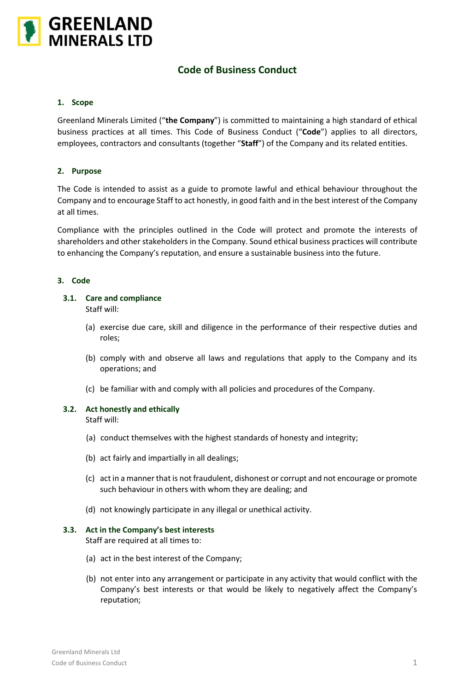

# **Code of Business Conduct**

# **1. Scope**

Greenland Minerals Limited ("**the Company**") is committed to maintaining a high standard of ethical business practices at all times. This Code of Business Conduct ("**Code**") applies to all directors, employees, contractors and consultants (together "**Staff**") of the Company and its related entities.

# **2. Purpose**

The Code is intended to assist as a guide to promote lawful and ethical behaviour throughout the Company and to encourage Staff to act honestly, in good faith and in the best interest of the Company at all times.

Compliance with the principles outlined in the Code will protect and promote the interests of shareholders and other stakeholders in the Company. Sound ethical business practices will contribute to enhancing the Company's reputation, and ensure a sustainable business into the future.

# **3. Code**

# **3.1. Care and compliance**

Staff will:

- (a) exercise due care, skill and diligence in the performance of their respective duties and roles;
- (b) comply with and observe all laws and regulations that apply to the Company and its operations; and
- (c) be familiar with and comply with all policies and procedures of the Company.

# **3.2. Act honestly and ethically**

Staff will:

- (a) conduct themselves with the highest standards of honesty and integrity;
- (b) act fairly and impartially in all dealings;
- (c) act in a manner that is not fraudulent, dishonest or corrupt and not encourage or promote such behaviour in others with whom they are dealing; and
- (d) not knowingly participate in any illegal or unethical activity.

### **3.3. Act in the Company's best interests**

Staff are required at all times to:

- (a) act in the best interest of the Company;
- (b) not enter into any arrangement or participate in any activity that would conflict with the Company's best interests or that would be likely to negatively affect the Company's reputation;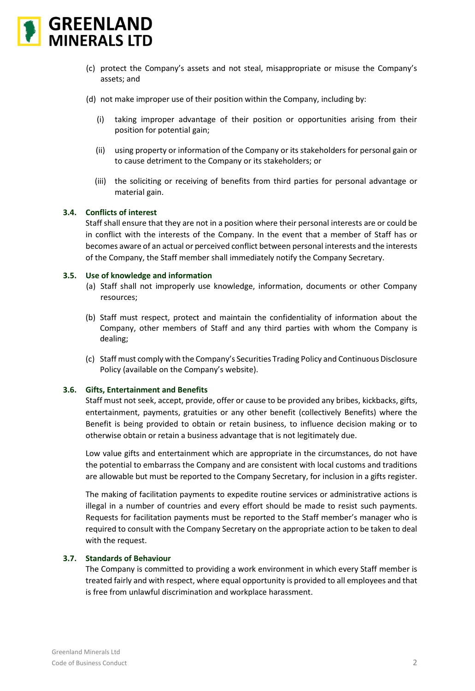

- (c) protect the Company's assets and not steal, misappropriate or misuse the Company's assets; and
- (d) not make improper use of their position within the Company, including by:
	- (i) taking improper advantage of their position or opportunities arising from their position for potential gain;
	- (ii) using property or information of the Company or its stakeholders for personal gain or to cause detriment to the Company or its stakeholders; or
	- (iii) the soliciting or receiving of benefits from third parties for personal advantage or material gain.

# **3.4. Conflicts of interest**

Staff shall ensure that they are not in a position where their personal interests are or could be in conflict with the interests of the Company. In the event that a member of Staff has or becomes aware of an actual or perceived conflict between personal interests and the interests of the Company, the Staff member shall immediately notify the Company Secretary.

# **3.5. Use of knowledge and information**

- (a) Staff shall not improperly use knowledge, information, documents or other Company resources;
- (b) Staff must respect, protect and maintain the confidentiality of information about the Company, other members of Staff and any third parties with whom the Company is dealing;
- (c) Staff must comply with the Company's Securities Trading Policy and Continuous Disclosure Policy (available on the Company's website).

# **3.6. Gifts, Entertainment and Benefits**

Staff must not seek, accept, provide, offer or cause to be provided any bribes, kickbacks, gifts, entertainment, payments, gratuities or any other benefit (collectively Benefits) where the Benefit is being provided to obtain or retain business, to influence decision making or to otherwise obtain or retain a business advantage that is not legitimately due.

Low value gifts and entertainment which are appropriate in the circumstances, do not have the potential to embarrass the Company and are consistent with local customs and traditions are allowable but must be reported to the Company Secretary, for inclusion in a gifts register.

The making of facilitation payments to expedite routine services or administrative actions is illegal in a number of countries and every effort should be made to resist such payments. Requests for facilitation payments must be reported to the Staff member's manager who is required to consult with the Company Secretary on the appropriate action to be taken to deal with the request.

# **3.7. Standards of Behaviour**

The Company is committed to providing a work environment in which every Staff member is treated fairly and with respect, where equal opportunity is provided to all employees and that is free from unlawful discrimination and workplace harassment.